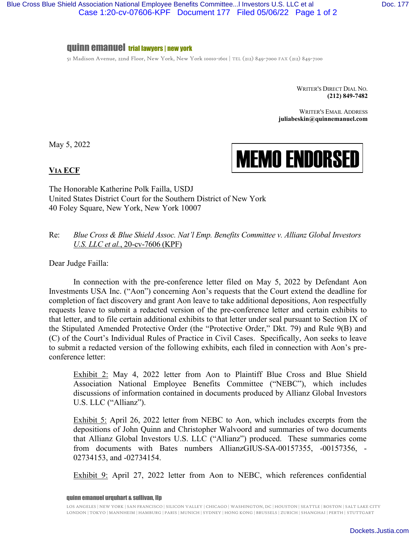## quinn emanuel trial lawyers | new york

51 Madison Avenue, 22nd Floor, New York, New York 10010-1601 | TEL (212) 849-7000 FAX (212) 849-7100

WRITER'S DIRECT DIAL NO. **(212) 849-7482**

WRITER'S EMAIL ADDRESS **juliabeskin@quinnemanuel.com** 

May 5, 2022

MEMO ENDORSED

## **VIA ECF**

The Honorable Katherine Polk Failla, USDJ United States District Court for the Southern District of New York 40 Foley Square, New York, New York 10007

## Re: *Blue Cross & Blue Shield Assoc. Nat'l Emp. Benefits Committee v. Allianz Global Investors U.S. LLC et al.*, 20-cv-7606 (KPF)

Dear Judge Failla:

In connection with the pre-conference letter filed on May 5, 2022 by Defendant Aon Investments USA Inc. ("Aon") concerning Aon's requests that the Court extend the deadline for completion of fact discovery and grant Aon leave to take additional depositions, Aon respectfully requests leave to submit a redacted version of the pre-conference letter and certain exhibits to that letter, and to file certain additional exhibits to that letter under seal pursuant to Section IX of the Stipulated Amended Protective Order (the "Protective Order," Dkt. 79) and Rule 9(B) and (C) of the Court's Individual Rules of Practice in Civil Cases. Specifically, Aon seeks to leave to submit a redacted version of the following exhibits, each filed in connection with Aon's preconference letter:

Exhibit 2: May 4, 2022 letter from Aon to Plaintiff Blue Cross and Blue Shield Association National Employee Benefits Committee ("NEBC"), which includes discussions of information contained in documents produced by Allianz Global Investors U.S. LLC ("Allianz").

Exhibit 5: April 26, 2022 letter from NEBC to Aon, which includes excerpts from the depositions of John Quinn and Christopher Walvoord and summaries of two documents that Allianz Global Investors U.S. LLC ("Allianz") produced. These summaries come from documents with Bates numbers AllianzGIUS-SA-00157355, -00157356, - 02734153, and -02734154.

Exhibit 9: April 27, 2022 letter from Aon to NEBC, which references confidential

quinn emanuel urquhart & sullivan, llp

LOS ANGELES | NEW YORK | SAN FRANCISCO | SILICON VALLEY | CHICAGO | WASHINGTON, DC | HOUSTON | SEATTLE | BOSTON | SALT LAKE CITY LONDON | TOKYO | MANNHEIM | HAMBURG | PARIS | MUNICH | SYDNEY | HONG KONG | BRUSSELS | ZURICH | SHANGHAI | PERTH | STUTTGART